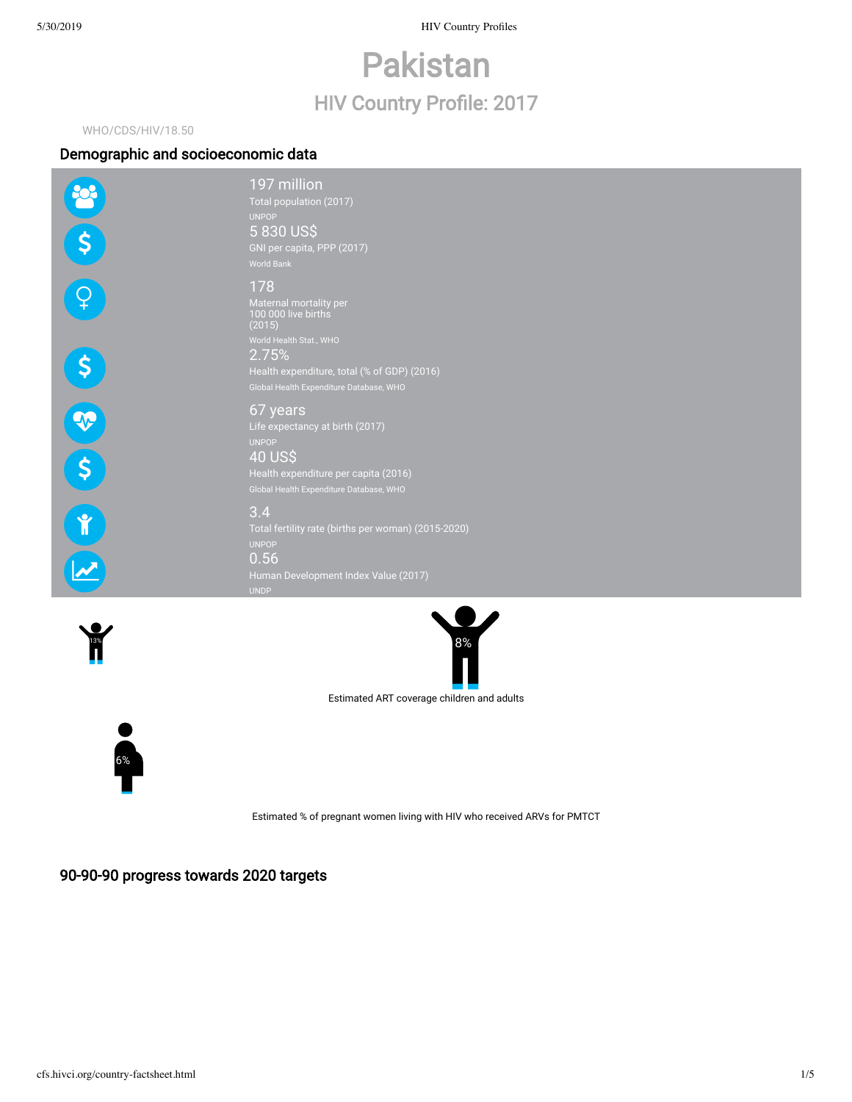5/30/2019 HIV Country Profiles

# Pakistan HIV Country Profile: 2017

# WHO/CDS/HIV/18.50

# Demographic and socioeconomic data

|                    | 197 million<br>Total population (2017)<br><b>UNPOP</b>                                                                                                           |
|--------------------|------------------------------------------------------------------------------------------------------------------------------------------------------------------|
|                    | 5830 US\$<br>GNI per capita, PPP (2017)<br><b>World Bank</b>                                                                                                     |
|                    | 178<br>Maternal mortality per<br>100 000 live births<br>(2015)<br>World Health Stat., WHO                                                                        |
|                    | 2.75%<br>Health expenditure, total (% of GDP) (2016)<br>Global Health Expenditure Database, WHO                                                                  |
|                    | 67 years<br>Life expectancy at birth (2017)<br><b>UNPOP</b><br><b>40 US\$</b><br>Health expenditure per capita (2016)<br>Global Health Expenditure Database, WHO |
| $\mathbf{\hat{r}}$ | 3.4<br>Total fertility rate (births per woman) (2015-2020)<br><b>UNPOP</b><br>0.56<br>Human Development Index Value (2017)<br><b>UNDP</b>                        |
|                    |                                                                                                                                                                  |





Estimated ART coverage children and adults



Estimated % of pregnant women living with HIV who received ARVs for PMTCT

90-90-90 progress towards 2020 targets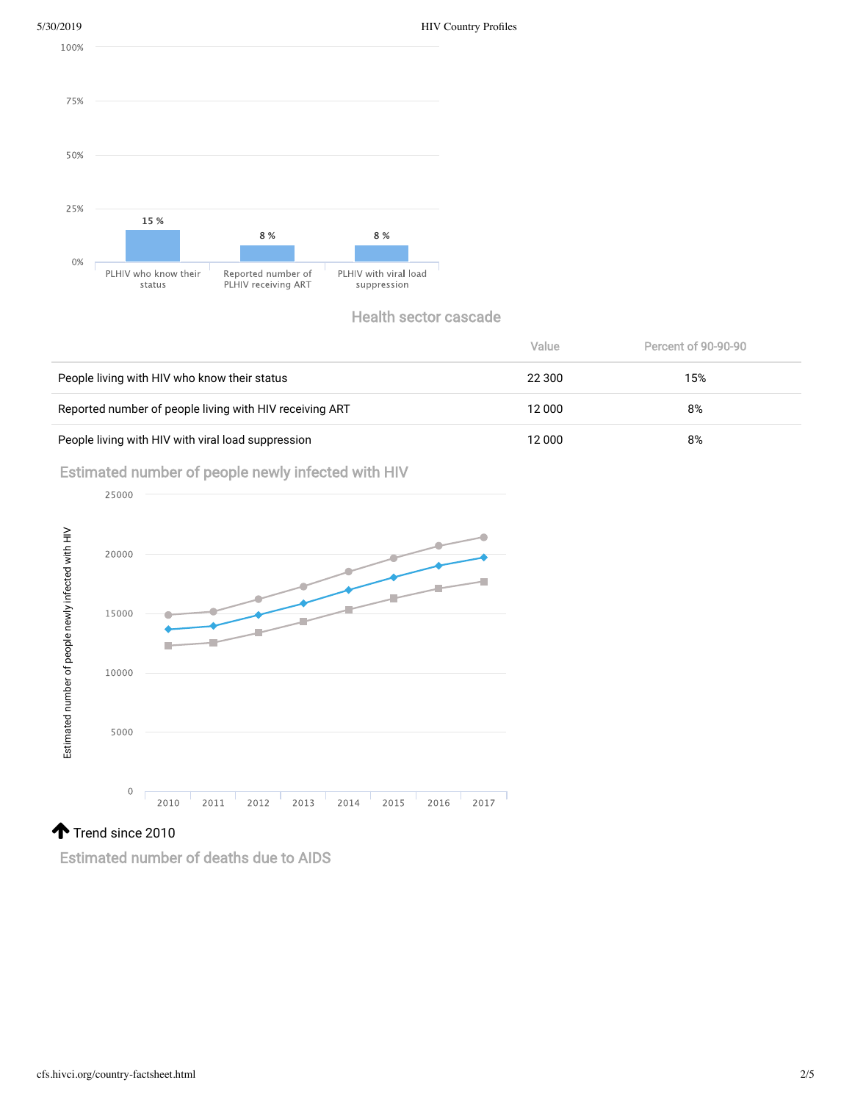



|                                                         | Value  | Percent of 90-90-90 |
|---------------------------------------------------------|--------|---------------------|
| People living with HIV who know their status            | 22 300 | 15%                 |
| Reported number of people living with HIV receiving ART | 12 000 | 8%                  |
| People living with HIV with viral load suppression      | 12 000 | 8%                  |

Estimated number of people newly infected with HIV



Estimated number of deaths due to AIDS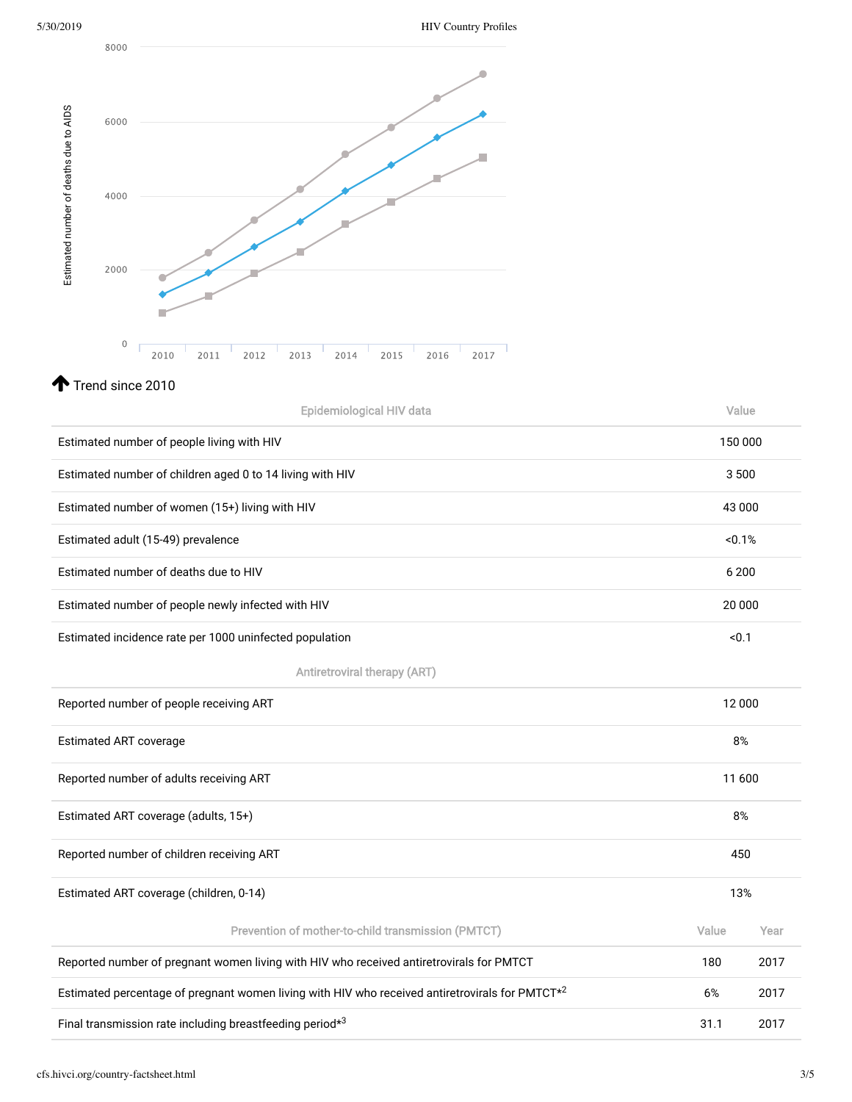|                                        | 8000                          |                                                                                                 |         |      |
|----------------------------------------|-------------------------------|-------------------------------------------------------------------------------------------------|---------|------|
|                                        |                               |                                                                                                 |         |      |
|                                        |                               |                                                                                                 |         |      |
|                                        | 6000                          |                                                                                                 |         |      |
|                                        |                               |                                                                                                 |         |      |
|                                        | 4000                          |                                                                                                 |         |      |
|                                        |                               |                                                                                                 |         |      |
| Estimated number of deaths due to AIDS | 2000                          |                                                                                                 |         |      |
|                                        |                               |                                                                                                 |         |      |
|                                        |                               |                                                                                                 |         |      |
|                                        | $\mathbf 0$                   | 2012<br>2011<br>2013<br>2014<br>2015<br>2016<br>2017<br>2010                                    |         |      |
|                                        | Trend since 2010              |                                                                                                 |         |      |
|                                        |                               | Epidemiological HIV data                                                                        | Value   |      |
|                                        |                               | Estimated number of people living with HIV                                                      | 150 000 |      |
|                                        |                               | Estimated number of children aged 0 to 14 living with HIV                                       | 3500    |      |
|                                        |                               | Estimated number of women (15+) living with HIV                                                 | 43 000  |      |
|                                        |                               | Estimated adult (15-49) prevalence                                                              | < 0.1%  |      |
|                                        |                               | Estimated number of deaths due to HIV                                                           | 6 200   |      |
|                                        |                               | Estimated number of people newly infected with HIV                                              | 20 000  |      |
|                                        |                               | Estimated incidence rate per 1000 uninfected population                                         | < 0.1   |      |
|                                        |                               | <b>Antiretroviral therapy (ART)</b>                                                             |         |      |
|                                        |                               | Reported number of people receiving ART                                                         | 12 000  |      |
|                                        | <b>Estimated ART coverage</b> |                                                                                                 | 8%      |      |
|                                        |                               | Reported number of adults receiving ART                                                         | 11 600  |      |
|                                        |                               | Estimated ART coverage (adults, 15+)                                                            | 8%      |      |
|                                        |                               | Reported number of children receiving ART                                                       | 450     |      |
|                                        |                               | Estimated ART coverage (children, 0-14)                                                         | 13%     |      |
|                                        |                               | Prevention of mother-to-child transmission (PMTCT)                                              | Value   | Year |
|                                        |                               | Reported number of pregnant women living with HIV who received antiretrovirals for PMTCT        | 180     | 2017 |
|                                        |                               | Estimated percentage of pregnant women living with HIV who received antiretrovirals for PMTCT*2 | 6%      | 2017 |
|                                        |                               | Final transmission rate including breastfeeding period*3                                        | 31.1    | 2017 |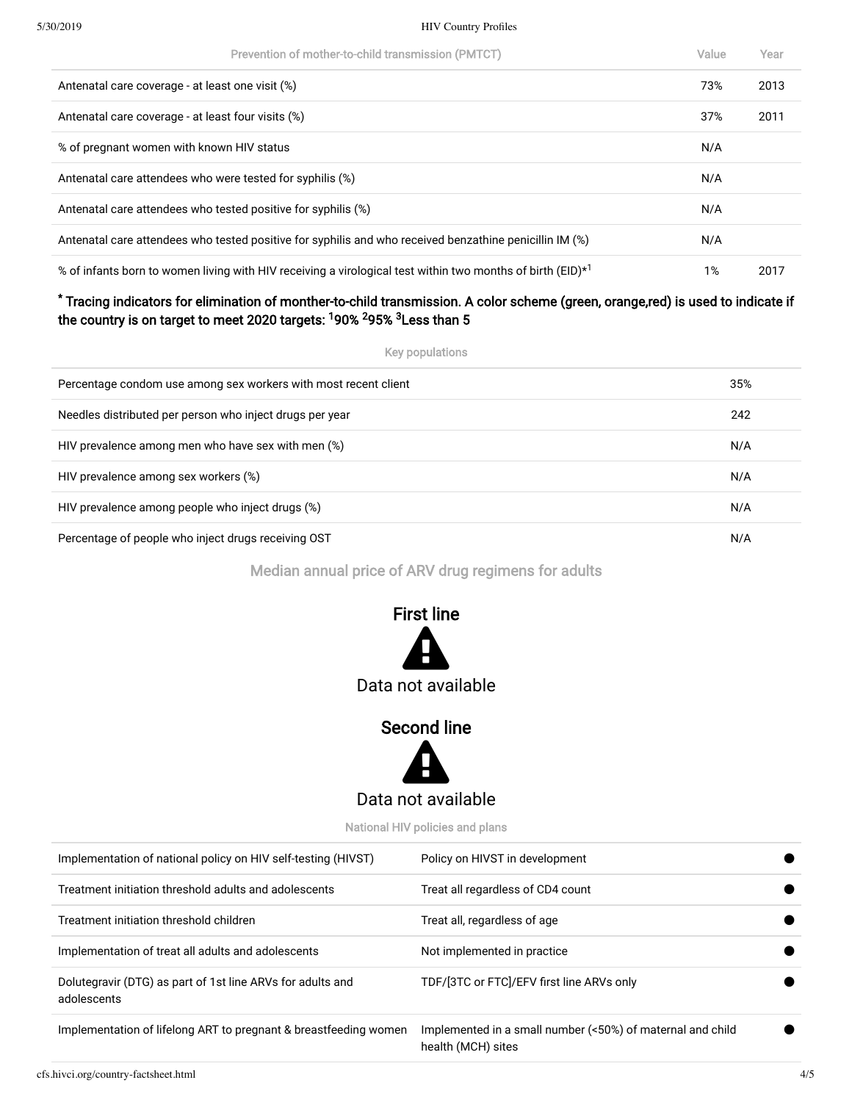## 5/30/2019 HIV Country Profiles

| Prevention of mother-to-child transmission (PMTCT)                                                                     | Value | Year |
|------------------------------------------------------------------------------------------------------------------------|-------|------|
| Antenatal care coverage - at least one visit (%)                                                                       | 73%   | 2013 |
| Antenatal care coverage - at least four visits (%)                                                                     | 37%   | 2011 |
| % of pregnant women with known HIV status                                                                              | N/A   |      |
| Antenatal care attendees who were tested for syphilis (%)                                                              | N/A   |      |
| Antenatal care attendees who tested positive for syphilis (%)                                                          | N/A   |      |
| Antenatal care attendees who tested positive for syphilis and who received benzathine penicillin IM (%)                | N/A   |      |
| % of infants born to women living with HIV receiving a virological test within two months of birth (EID) <sup>*1</sup> | 1%    | 2017 |

# Tracing indicators for elimination of monther-to-child transmission. A color scheme (green, orange,red) is used to indicate if \* the country is on target to meet 2020 targets: <sup>1</sup>90% <sup>2</sup>95% <sup>3</sup>Less than 5

| Key populations                                                 |     |
|-----------------------------------------------------------------|-----|
| Percentage condom use among sex workers with most recent client | 35% |
| Needles distributed per person who inject drugs per year        | 242 |
| HIV prevalence among men who have sex with men (%)              | N/A |
| HIV prevalence among sex workers (%)                            | N/A |
| HIV prevalence among people who inject drugs (%)                | N/A |
| Percentage of people who inject drugs receiving OST             | N/A |

Median annual price of ARV drug regimens for adults



# Second line



National HIV policies and plans

| Implementation of national policy on HIV self-testing (HIVST)             | Policy on HIVST in development                                                   |
|---------------------------------------------------------------------------|----------------------------------------------------------------------------------|
| Treatment initiation threshold adults and adolescents                     | Treat all regardless of CD4 count                                                |
| Treatment initiation threshold children                                   | Treat all, regardless of age                                                     |
| Implementation of treat all adults and adolescents                        | Not implemented in practice                                                      |
| Dolutegravir (DTG) as part of 1st line ARVs for adults and<br>adolescents | TDF/[3TC or FTC]/EFV first line ARVs only                                        |
| Implementation of lifelong ART to pregnant & breastfeeding women          | Implemented in a small number (<50%) of maternal and child<br>health (MCH) sites |